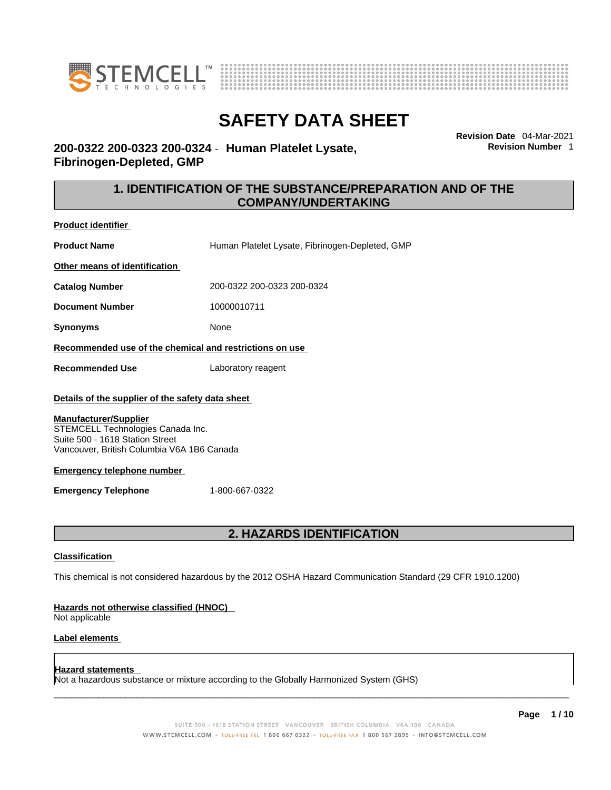



**Revision Date** 04-Mar-2021 **Revision Number** 1

# **200-0322 200-0323 200-0324** - **Human Platelet Lysate, Fibrinogen-Depleted, GMP**

### **1. IDENTIFICATION OF THE SUBSTANCE/PREPARATION AND OF THE COMPANY/UNDERTAKING**

**Product identifier**

**Product Name Human Platelet Lysate, Fibrinogen-Depleted, GMP** 

**Other means of identification**

**Catalog Number** 200-0322 200-0323 200-0324

**Document Number** 10000010711

**Synonyms** None

**Recommended use of the chemical and restrictions on use**

**Recommended Use** Laboratory reagent

### **Details of the supplier of the safety data sheet**

### **Manufacturer/Supplier**

STEMCELL Technologies Canada Inc. Suite 500 - 1618 Station Street Vancouver, British Columbia V6A 1B6 Canada

### **Emergency telephone number**

**Emergency Telephone** 1-800-667-0322

### **2. HAZARDS IDENTIFICATION**

### **Classification**

This chemical is not considered hazardous by the 2012 OSHA Hazard Communication Standard (29 CFR 1910.1200)

### **Hazards not otherwise classified (HNOC)**

Not applicable

### **Label elements**

### **Hazard statements**

Not a hazardous substance or mixture according to the Globally Harmonized System (GHS)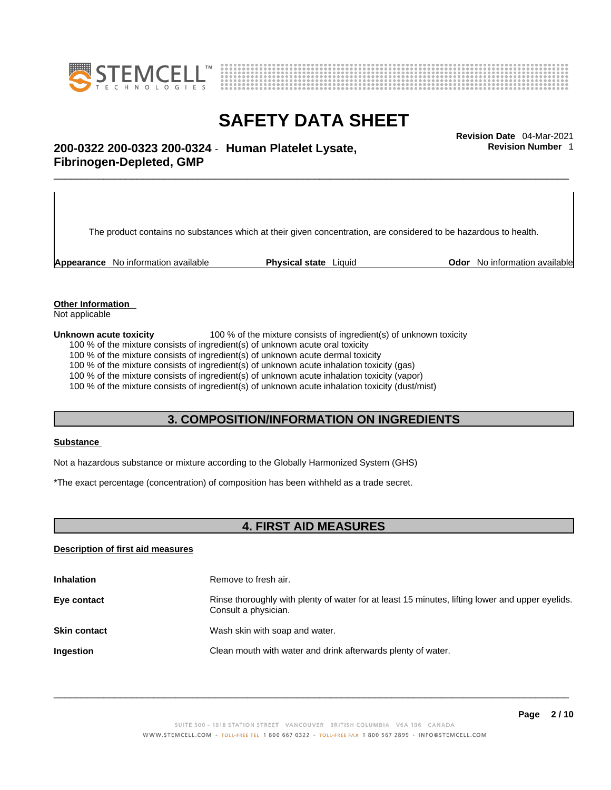



**Revision Number** 1

# \_\_\_\_\_\_\_\_\_\_\_\_\_\_\_\_\_\_\_\_\_\_\_\_\_\_\_\_\_\_\_\_\_\_\_\_\_\_\_\_\_\_\_\_\_\_\_\_\_\_\_\_\_\_\_\_\_\_\_\_\_\_\_\_\_\_\_\_\_\_\_\_\_\_\_\_\_\_\_\_\_\_\_\_\_\_\_\_\_\_\_\_\_ **Revision Date** 04-Mar-2021 **200-0322 200-0323 200-0324** - **Human Platelet Lysate, Fibrinogen-Depleted, GMP**

The product contains no substances which at their given concentration, are considered to be hazardous to health.

**Appearance** No information available **Physical state** Liquid **Odor** No information available

**Other Information** 

Not applicable

**Unknown acute toxicity** 100 % of the mixture consists of ingredient(s) of unknown toxicity

100 % of the mixture consists of ingredient(s) of unknown acute oral toxicity

100 % of the mixture consists of ingredient(s) of unknown acute dermal toxicity

100 % of the mixture consists of ingredient(s) of unknown acute inhalation toxicity (gas)

100 % of the mixture consists of ingredient(s) of unknown acute inhalation toxicity (vapor)

100 % of the mixture consists of ingredient(s) of unknown acute inhalation toxicity (dust/mist)

### **3. COMPOSITION/INFORMATION ON INGREDIENTS**

### **Substance**

Not a hazardous substance or mixture according to the Globally Harmonized System (GHS)

\*The exact percentage (concentration) of composition has been withheld as a trade secret.

### **4. FIRST AID MEASURES**

### **Description of first aid measures**

| <b>Inhalation</b>   | Remove to fresh air.                                                                                                    |
|---------------------|-------------------------------------------------------------------------------------------------------------------------|
| Eye contact         | Rinse thoroughly with plenty of water for at least 15 minutes, lifting lower and upper eyelids.<br>Consult a physician. |
| <b>Skin contact</b> | Wash skin with soap and water.                                                                                          |
| Ingestion           | Clean mouth with water and drink afterwards plenty of water.                                                            |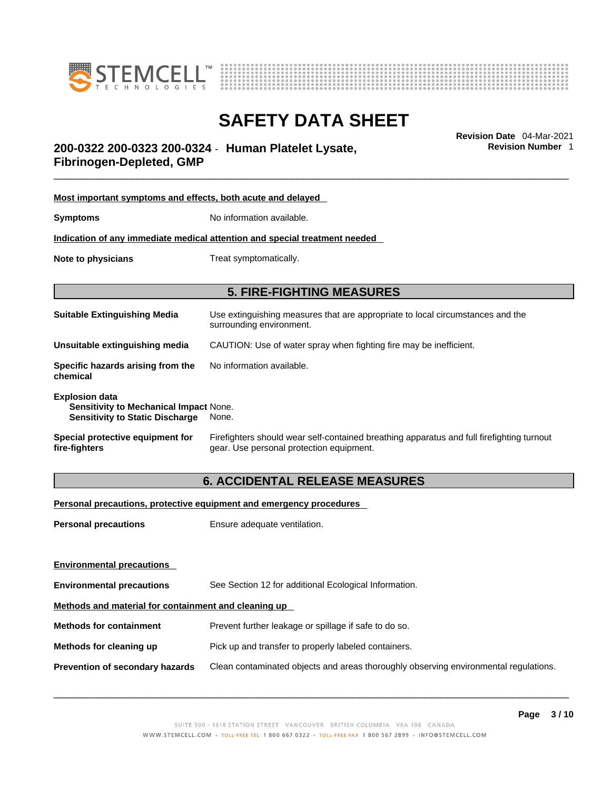



\_\_\_\_\_\_\_\_\_\_\_\_\_\_\_\_\_\_\_\_\_\_\_\_\_\_\_\_\_\_\_\_\_\_\_\_\_\_\_\_\_\_\_\_\_\_\_\_\_\_\_\_\_\_\_\_\_\_\_\_\_\_\_\_\_\_\_\_\_\_\_\_\_\_\_\_\_\_\_\_\_\_\_\_\_\_\_\_\_\_\_\_\_ **Revision Date** 04-Mar-2021 **200-0322 200-0323 200-0324** - **Human Platelet Lysate, Fibrinogen-Depleted, GMP** 

**Most important symptoms and effects, both acute and delayed Symptoms** No information available. **Indication of any immediate medical attention and special treatment needed Note to physicians** Treat symptomatically. **5. FIRE-FIGHTING MEASURES Suitable Extinguishing Media** Use extinguishing measures that are appropriate to local circumstances and the surrounding environment. **Unsuitable extinguishing media** CAUTION: Use of water spray when fighting fire may be inefficient. **Specific hazards arising from the chemical** No information available. **Explosion data Sensitivity to Mechanical Impact** None. **Sensitivity to Static Discharge** None. **Special protective equipment for fire-fighters** Firefighters should wear self-contained breathing apparatus and full firefighting turnout gear. Use personal protection equipment.

### **6. ACCIDENTAL RELEASE MEASURES**

**Personal precautions, protective equipment and emergency procedures**

| Ensure adequate ventilation.                                                         |  |  |
|--------------------------------------------------------------------------------------|--|--|
|                                                                                      |  |  |
|                                                                                      |  |  |
| See Section 12 for additional Ecological Information.                                |  |  |
| Methods and material for containment and cleaning up                                 |  |  |
| Prevent further leakage or spillage if safe to do so.                                |  |  |
| Pick up and transfer to properly labeled containers.                                 |  |  |
| Clean contaminated objects and areas thoroughly observing environmental regulations. |  |  |
|                                                                                      |  |  |

 $\_$  ,  $\_$  ,  $\_$  ,  $\_$  ,  $\_$  ,  $\_$  ,  $\_$  ,  $\_$  ,  $\_$  ,  $\_$  ,  $\_$  ,  $\_$  ,  $\_$  ,  $\_$  ,  $\_$  ,  $\_$  ,  $\_$  ,  $\_$  ,  $\_$  ,  $\_$  ,  $\_$  ,  $\_$  ,  $\_$  ,  $\_$  ,  $\_$  ,  $\_$  ,  $\_$  ,  $\_$  ,  $\_$  ,  $\_$  ,  $\_$  ,  $\_$  ,  $\_$  ,  $\_$  ,  $\_$  ,  $\_$  ,  $\_$  ,

**Page 3 / 10**

**Revision Number** 1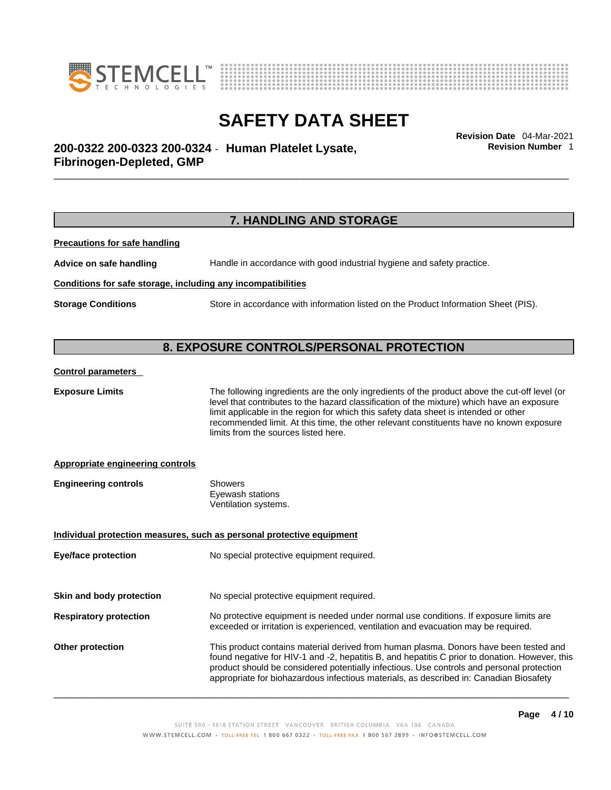



**Revision Number** 1

\_\_\_\_\_\_\_\_\_\_\_\_\_\_\_\_\_\_\_\_\_\_\_\_\_\_\_\_\_\_\_\_\_\_\_\_\_\_\_\_\_\_\_\_\_\_\_\_\_\_\_\_\_\_\_\_\_\_\_\_\_\_\_\_\_\_\_\_\_\_\_\_\_\_\_\_\_\_\_\_\_\_\_\_\_\_\_\_\_\_\_\_\_ **Revision Date** 04-Mar-2021 **200-0322 200-0323 200-0324** - **Human Platelet Lysate, Fibrinogen-Depleted, GMP** 

### **7. HANDLING AND STORAGE**

**Precautions for safe handling**

**Advice on safe handling** Handle in accordance with good industrial hygiene and safety practice.

### **Conditions for safe storage, including any incompatibilities**

**Storage Conditions** Store in accordance with information listed on the Product Information Sheet (PIS).

# **8. EXPOSURE CONTROLS/PERSONAL PROTECTION**

### **Control parameters**

**Exposure Limits** The following ingredients are the only ingredients of the product above the cut-off level (or level that contributes to the hazard classification of the mixture) which have an exposure limit applicable in the region for which this safety data sheet is intended or other recommended limit. At this time, the other relevant constituents have no known exposure limits from the sources listed here.

### **Appropriate engineering controls**

| <b>Engineering controls</b> | Showers              |  |
|-----------------------------|----------------------|--|
|                             | Eyewash stations     |  |
|                             | Ventilation systems. |  |

**Individual protection measures, such as personal protective equipment Eye/face protection** No special protective equipment required. **Skin and body protection** No special protective equipment required.

- **Respiratory protection** No protective equipment is needed under normal use conditions. If exposure limits are exceeded or irritation is experienced, ventilation and evacuation may be required.
- **Other protection** This product contains material derived from human plasma. Donors have been tested and found negative for HIV-1 and -2, hepatitis B, and hepatitis C prior to donation. However, this product should be considered potentially infectious. Use controls and personal protection appropriate for biohazardous infectious materials, as described in: Canadian Biosafety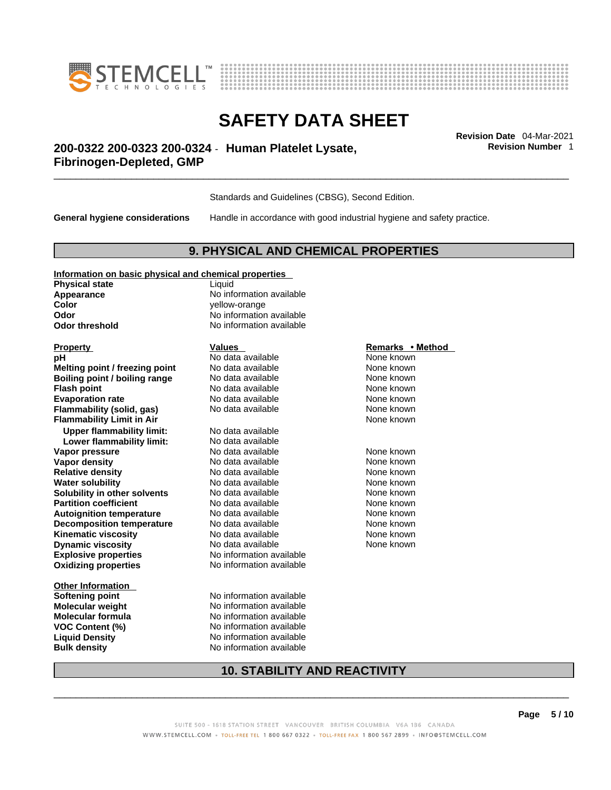



**Revision Number** 1

# \_\_\_\_\_\_\_\_\_\_\_\_\_\_\_\_\_\_\_\_\_\_\_\_\_\_\_\_\_\_\_\_\_\_\_\_\_\_\_\_\_\_\_\_\_\_\_\_\_\_\_\_\_\_\_\_\_\_\_\_\_\_\_\_\_\_\_\_\_\_\_\_\_\_\_\_\_\_\_\_\_\_\_\_\_\_\_\_\_\_\_\_\_ **Revision Date** 04-Mar-2021 **200-0322 200-0323 200-0324** - **Human Platelet Lysate, Fibrinogen-Depleted, GMP**

Standards and Guidelines (CBSG), Second Edition.

**General hygiene considerations** Handle in accordance with good industrial hygiene and safety practice.

### **9. PHYSICAL AND CHEMICAL PROPERTIES**

### **Information on basic physical and chemical properties**

**Physical state** Liquid **Color** yellow-orange **Odor Odor No information available**<br> **Odor threshold No information available** 

**Explosive properties** No information available **Oxidizing properties** No information available **pH Notata available Note known Melting point / freezing point** No data available None Known **Boiling point / boiling range** No data available None known<br> **Elash point None known**<br>
No data available None Known None known **Flash point**<br> **Flash point**<br> **Fvanoration rate** None Known<br>
No data available None Known<br>
None known **Evaporation rate Flammability (solid, gas)** No data available None Known None known **Flammability Limit in Air** None known **Upper flammability limit:** No data available **Lower flammability limit:** No data available **Vapor pressure No data available Mone known**<br> **Vapor density No data available** Mone known **None known Vapor density** No data available None known **Relative density Water solubility <br>
<b>Water solubility n** other **solvents** No data available **None known**<br>
None known **Solubility in other solvents** No data available None None known **Partition coefficient No data available Mone known Autoignition temperature No data available Mone Known** None known **Decomposition temperature** No data available None known **Kinematic viscosity**<br> **Community** No data available None known<br>
None known
No data available<br>
None known **Dynamic viscosity No data available None known** 

**Other Information** 

**Appearance** No information available **No information available** 

**Softening point** No information available **Molecular weight** No information available **Molecular formula**<br> **VOC Content (%)**<br>
No information available<br>
No information available **VOC Content (%)** No information available **Liquid Density** No information available **Bulk density No information available** 

### **Property Remarks •** Method **Values Remarks** •**Method**

# **10. STABILITY AND REACTIVITY**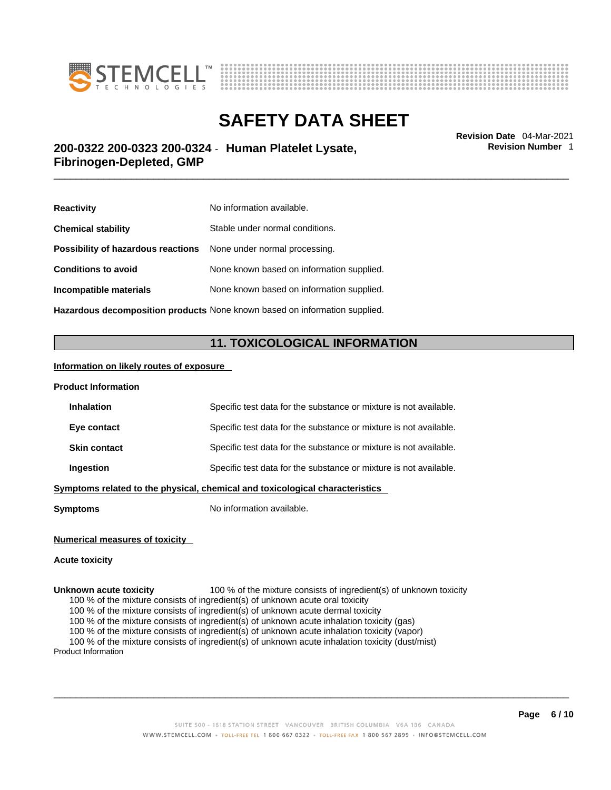



**Revision Number** 1

# \_\_\_\_\_\_\_\_\_\_\_\_\_\_\_\_\_\_\_\_\_\_\_\_\_\_\_\_\_\_\_\_\_\_\_\_\_\_\_\_\_\_\_\_\_\_\_\_\_\_\_\_\_\_\_\_\_\_\_\_\_\_\_\_\_\_\_\_\_\_\_\_\_\_\_\_\_\_\_\_\_\_\_\_\_\_\_\_\_\_\_\_\_ **Revision Date** 04-Mar-2021 **200-0322 200-0323 200-0324** - **Human Platelet Lysate, Fibrinogen-Depleted, GMP**

| <b>Reactivity</b>                                                       | No information available.                 |
|-------------------------------------------------------------------------|-------------------------------------------|
| <b>Chemical stability</b>                                               | Stable under normal conditions.           |
| <b>Possibility of hazardous reactions</b> None under normal processing. |                                           |
| <b>Conditions to avoid</b>                                              | None known based on information supplied. |
| Incompatible materials                                                  | None known based on information supplied. |
|                                                                         |                                           |

**Hazardous decomposition products** None known based on information supplied.

# **11. TOXICOLOGICAL INFORMATION**

### **Information on likely routes of exposure**

| <b>Product Information</b>                                                   |                                                                   |  |
|------------------------------------------------------------------------------|-------------------------------------------------------------------|--|
| <b>Inhalation</b>                                                            | Specific test data for the substance or mixture is not available. |  |
| Eye contact                                                                  | Specific test data for the substance or mixture is not available. |  |
| <b>Skin contact</b>                                                          | Specific test data for the substance or mixture is not available. |  |
| Ingestion                                                                    | Specific test data for the substance or mixture is not available. |  |
| Symptoms related to the physical, chemical and toxicological characteristics |                                                                   |  |
| <b>Symptoms</b>                                                              | No information available.                                         |  |

#### **Numerical measures of toxicity**

#### **Acute toxicity**

**Unknown acute toxicity** 100 % of the mixture consists of ingredient(s) of unknown toxicity 100 % of the mixture consists of ingredient(s) of unknown acute oral toxicity

100 % of the mixture consists of ingredient(s) of unknown acute dermal toxicity

100 % of the mixture consists of ingredient(s) of unknown acute inhalation toxicity (gas)

100 % of the mixture consists of ingredient(s) of unknown acute inhalation toxicity (vapor)

100 % of the mixture consists of ingredient(s) of unknown acute inhalation toxicity (dust/mist)

Product Information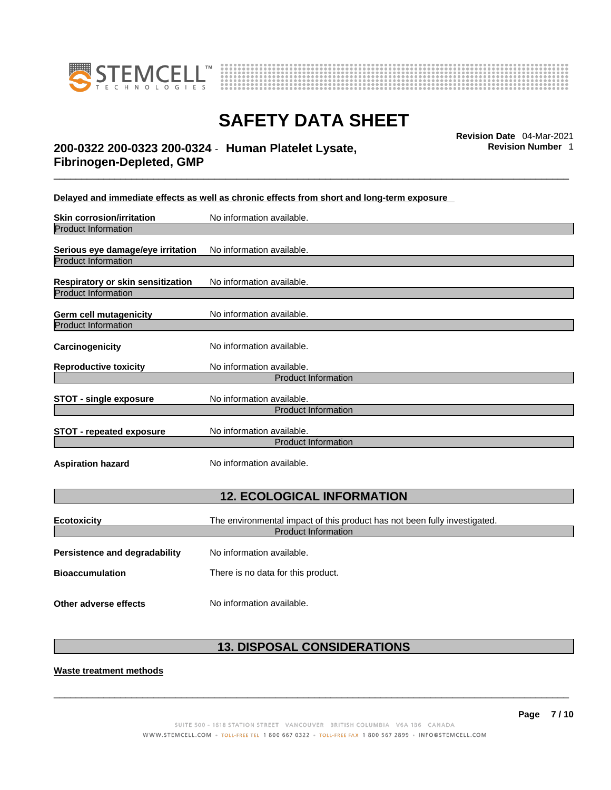



\_\_\_\_\_\_\_\_\_\_\_\_\_\_\_\_\_\_\_\_\_\_\_\_\_\_\_\_\_\_\_\_\_\_\_\_\_\_\_\_\_\_\_\_\_\_\_\_\_\_\_\_\_\_\_\_\_\_\_\_\_\_\_\_\_\_\_\_\_\_\_\_\_\_\_\_\_\_\_\_\_\_\_\_\_\_\_\_\_\_\_\_\_ **Revision Date** 04-Mar-2021 **200-0322 200-0323 200-0324** - **Human Platelet Lysate, Fibrinogen-Depleted, GMP** 

**Revision Number** 1

**Delayed and immediate effects as well as chronic effects from short and long-term exposure**

| <b>Skin corrosion/irritation</b>  | No information available.                                                 |  |
|-----------------------------------|---------------------------------------------------------------------------|--|
| <b>Product Information</b>        |                                                                           |  |
| Serious eye damage/eye irritation | No information available.                                                 |  |
| <b>Product Information</b>        |                                                                           |  |
| Respiratory or skin sensitization | No information available.                                                 |  |
| <b>Product Information</b>        |                                                                           |  |
| <b>Germ cell mutagenicity</b>     | No information available.                                                 |  |
| <b>Product Information</b>        |                                                                           |  |
| Carcinogenicity                   | No information available.                                                 |  |
| <b>Reproductive toxicity</b>      | No information available.                                                 |  |
| <b>Product Information</b>        |                                                                           |  |
| <b>STOT - single exposure</b>     | No information available.                                                 |  |
|                                   | <b>Product Information</b>                                                |  |
| <b>STOT - repeated exposure</b>   | No information available.                                                 |  |
|                                   | <b>Product Information</b>                                                |  |
| <b>Aspiration hazard</b>          | No information available.                                                 |  |
| <b>12. ECOLOGICAL INFORMATION</b> |                                                                           |  |
|                                   |                                                                           |  |
| <b>Ecotoxicity</b>                | The environmental impact of this product has not been fully investigated. |  |
|                                   | <b>Product Information</b>                                                |  |
| Persistence and degradability     | No information available.                                                 |  |
| <b>Bioaccumulation</b>            | There is no data for this product.                                        |  |
| Other adverse effects             | No information available.                                                 |  |

# **13. DISPOSAL CONSIDERATIONS**

**Waste treatment methods**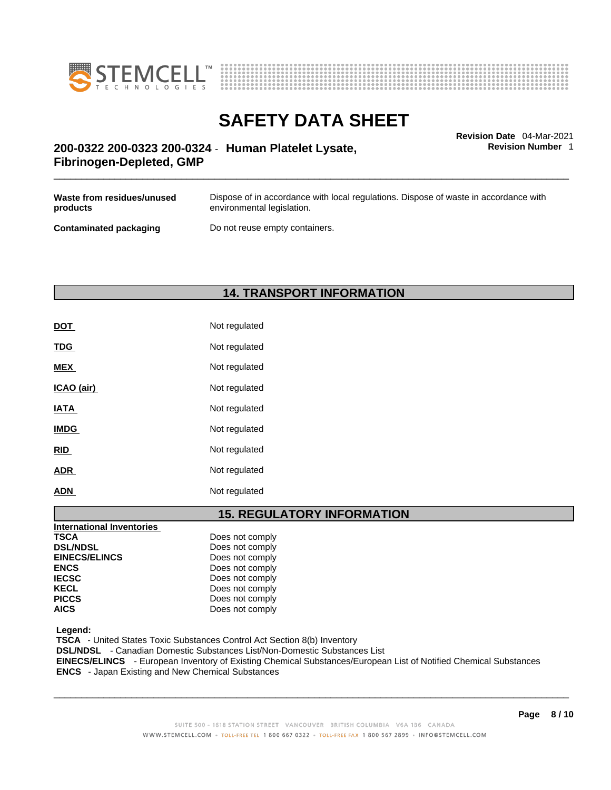



**Revision Number** 1

# \_\_\_\_\_\_\_\_\_\_\_\_\_\_\_\_\_\_\_\_\_\_\_\_\_\_\_\_\_\_\_\_\_\_\_\_\_\_\_\_\_\_\_\_\_\_\_\_\_\_\_\_\_\_\_\_\_\_\_\_\_\_\_\_\_\_\_\_\_\_\_\_\_\_\_\_\_\_\_\_\_\_\_\_\_\_\_\_\_\_\_\_\_ **Revision Date** 04-Mar-2021 **200-0322 200-0323 200-0324** - **Human Platelet Lysate, Fibrinogen-Depleted, GMP**

| Waste from residues/unused    | Dispose of in accordance with local regulations. Dispose of waste in accordance with |
|-------------------------------|--------------------------------------------------------------------------------------|
| products                      | environmental legislation.                                                           |
| <b>Contaminated packaging</b> | Do not reuse empty containers.                                                       |

# **14. TRANSPORT INFORMATION**

| DOT         | Not regulated |
|-------------|---------------|
| <b>TDG</b>  | Not regulated |
| <b>MEX</b>  | Not regulated |
| ICAO (air)  | Not regulated |
| <b>IATA</b> | Not regulated |
| <b>IMDG</b> | Not regulated |
| <b>RID</b>  | Not regulated |
| <b>ADR</b>  | Not regulated |
| ADN         | Not regulated |

### **15. REGULATORY INFORMATION**

| International Inventories |                 |
|---------------------------|-----------------|
| <b>TSCA</b>               | Does not comply |
| <b>DSL/NDSL</b>           | Does not comply |
| <b>EINECS/ELINCS</b>      | Does not comply |
| <b>ENCS</b>               | Does not comply |
| <b>IECSC</b>              | Does not comply |
| <b>KECL</b>               | Does not comply |
| <b>PICCS</b>              | Does not comply |
| <b>AICS</b>               | Does not comply |

 **Legend:** 

 **TSCA** - United States Toxic Substances Control Act Section 8(b) Inventory

 **DSL/NDSL** - Canadian Domestic Substances List/Non-Domestic Substances List

 **EINECS/ELINCS** - European Inventory of Existing Chemical Substances/European List of Notified Chemical Substances  **ENCS** - Japan Existing and New Chemical Substances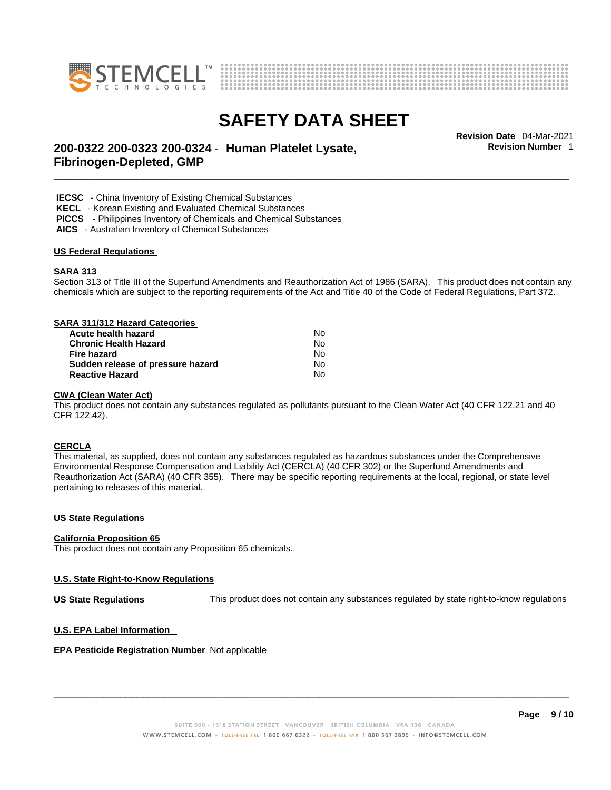



**Revision Number** 1

# \_\_\_\_\_\_\_\_\_\_\_\_\_\_\_\_\_\_\_\_\_\_\_\_\_\_\_\_\_\_\_\_\_\_\_\_\_\_\_\_\_\_\_\_\_\_\_\_\_\_\_\_\_\_\_\_\_\_\_\_\_\_\_\_\_\_\_\_\_\_\_\_\_\_\_\_\_\_\_\_\_\_\_\_\_\_\_\_\_\_\_\_\_ **Revision Date** 04-Mar-2021 **200-0322 200-0323 200-0324** - **Human Platelet Lysate, Fibrinogen-Depleted, GMP**

 **IECSC** - China Inventory of Existing Chemical Substances

 **KECL** - Korean Existing and Evaluated Chemical Substances

 **PICCS** - Philippines Inventory of Chemicals and Chemical Substances

 **AICS** - Australian Inventory of Chemical Substances

### **US Federal Regulations**

### **SARA 313**

Section 313 of Title III of the Superfund Amendments and Reauthorization Act of 1986 (SARA). This product does not contain any chemicals which are subject to the reporting requirements of the Act and Title 40 of the Code of Federal Regulations, Part 372.

### **SARA 311/312 Hazard Categories**

| Acute health hazard               | Nο |  |
|-----------------------------------|----|--|
| <b>Chronic Health Hazard</b>      | N٥ |  |
| Fire hazard                       | N٥ |  |
| Sudden release of pressure hazard | N٥ |  |
| <b>Reactive Hazard</b>            | N٥ |  |

#### **CWA** (Clean Water Act)

This product does not contain any substances regulated as pollutants pursuant to the Clean Water Act (40 CFR 122.21 and 40 CFR 122.42).

### **CERCLA**

This material, as supplied, does not contain any substances regulated as hazardous substances under the Comprehensive Environmental Response Compensation and Liability Act (CERCLA) (40 CFR 302) or the Superfund Amendments and Reauthorization Act (SARA) (40 CFR 355). There may be specific reporting requirements at the local, regional, or state level pertaining to releases of this material.

#### **US State Regulations**

### **California Proposition 65**

This product does not contain any Proposition 65 chemicals.

### **U.S. State Right-to-Know Regulations**

**US State Regulations** This product does not contain any substances regulated by state right-to-know regulations

#### **U.S. EPA Label Information**

#### **EPA Pesticide Registration Number** Not applicable